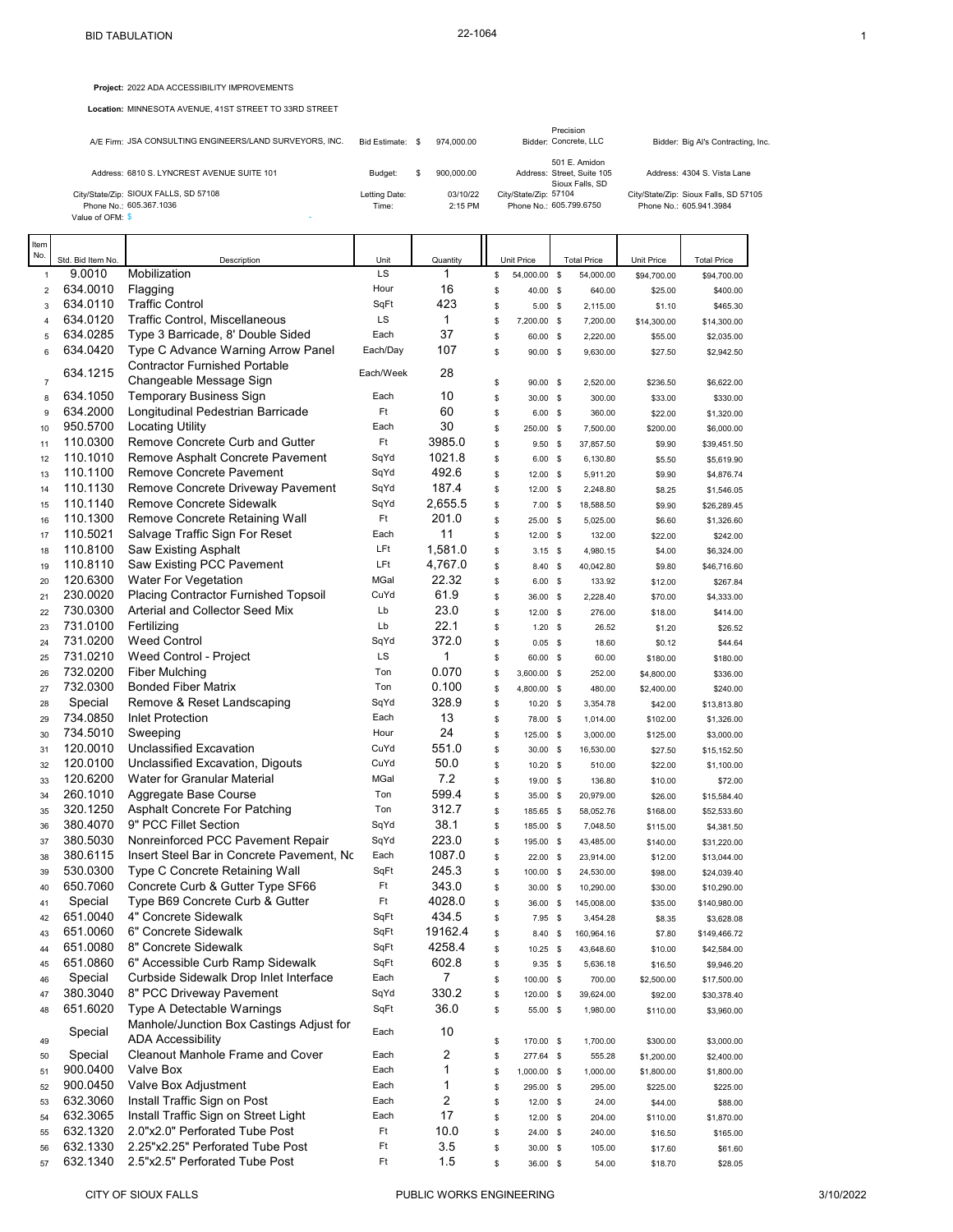**Project:** 2022 ADA ACCESSIBILITY IMPROVEMENTS

**Location:** MINNESOTA AVENUE, 41ST STREET TO 33RD STREET

| A/E Firm: JSA CONSULTING ENGINEERS/LAND SURVEYORS, INC.                              |                        | Bid Estimate: \$<br>974.000.00 |                       | Precision<br>Bidder: Concrete, LLC                             | Bidder: Big Al's Contracting, Inc.                               |
|--------------------------------------------------------------------------------------|------------------------|--------------------------------|-----------------------|----------------------------------------------------------------|------------------------------------------------------------------|
| Address: 6810 S. LYNCREST AVENUE SUITE 101                                           | Budget:                |                                | 900.000.00            | 501 E. Amidon<br>Address: Street, Suite 105<br>Sioux Falls, SD | Address: 4304 S. Vista Lane                                      |
| City/State/Zip: SIOUX FALLS, SD 57108<br>Phone No.: 605.367.1036<br>Value of OFM: \$ | Letting Date:<br>Time: |                                | 03/10/22<br>$2:15$ PM | City/State/Zip: 57104<br>Phone No.: 605.799.6750               | City/State/Zip: Sioux Falls, SD 57105<br>Phone No.: 605.941.3984 |

| ltem<br>No.    |                   |                                           |           |          |    |             |             |                    |             |                    |
|----------------|-------------------|-------------------------------------------|-----------|----------|----|-------------|-------------|--------------------|-------------|--------------------|
|                | Std. Bid Item No. | Description                               | Unit      | Quantity |    | Unit Price  |             | <b>Total Price</b> | Unit Price  | <b>Total Price</b> |
| $\mathbf{1}$   | 9.0010            | Mobilization                              | LS        | 1        | \$ | 54,000.00   | <b>S</b>    | 54,000.00          | \$94,700.00 | \$94,700.00        |
| $\overline{2}$ | 634.0010          | Flagging                                  | Hour      | 16       | \$ | 40.00 \$    |             | 640.00             | \$25.00     | \$400.00           |
| 3              | 634.0110          | <b>Traffic Control</b>                    | SqFt      | 423      | \$ | 5.00        | - \$        | 2,115.00           | \$1.10      | \$465.30           |
| $\overline{4}$ | 634.0120          | Traffic Control, Miscellaneous            | LS        | 1        | \$ | 7,200.00    | <b>S</b>    | 7,200.00           | \$14,300.00 | \$14,300.00        |
| 5              | 634.0285          | Type 3 Barricade, 8' Double Sided         | Each      | 37       | \$ | 60.00 \$    |             | 2,220.00           | \$55.00     | \$2,035.00         |
| 6              | 634.0420          | Type C Advance Warning Arrow Panel        | Each/Day  | 107      | \$ | 90.00 \$    |             | 9,630.00           | \$27.50     | \$2,942.50         |
|                | 634.1215          | <b>Contractor Furnished Portable</b>      | Each/Week | 28       |    |             |             |                    |             |                    |
| $\overline{7}$ |                   | Changeable Message Sign                   |           |          | \$ | 90.00 \$    |             | 2,520.00           | \$236.50    | \$6,622.00         |
| 8              | 634.1050          | Temporary Business Sign                   | Each      | 10       | \$ | 30.00 \$    |             | 300.00             | \$33.00     | \$330.00           |
| 9              | 634.2000          | Longitudinal Pedestrian Barricade         | Ft        | 60       | \$ | 6.00        | $\mathbf s$ | 360.00             | \$22.00     | \$1,320.00         |
| 10             | 950.5700          | <b>Locating Utility</b>                   | Each      | 30       | \$ | 250.00 \$   |             | 7,500.00           | \$200.00    | \$6,000.00         |
| 11             | 110.0300          | Remove Concrete Curb and Gutter           | Ft        | 3985.0   | \$ | 9.50        | - \$        | 37,857.50          | \$9.90      | \$39,451.50        |
| 12             | 110.1010          | Remove Asphalt Concrete Pavement          | SqYd      | 1021.8   | \$ | 6.00        | $\mathbf s$ | 6,130.80           | \$5.50      | \$5,619.90         |
| 13             | 110.1100          | Remove Concrete Pavement                  | SqYd      | 492.6    | \$ | 12.00 \$    |             | 5,911.20           | \$9.90      | \$4,876.74         |
| 14             | 110.1130          | Remove Concrete Driveway Pavement         | SqYd      | 187.4    | \$ | $12.00$ \$  |             | 2,248.80           | \$8.25      | \$1,546.05         |
| 15             | 110.1140          | Remove Concrete Sidewalk                  | SqYd      | 2,655.5  | \$ | $7.00$ \$   |             | 18,588.50          | \$9.90      | \$26,289.45        |
| 16             | 110.1300          | Remove Concrete Retaining Wall            | Ft        | 201.0    | \$ | 25.00       | - \$        | 5,025.00           | \$6.60      | \$1,326.60         |
| 17             | 110.5021          | Salvage Traffic Sign For Reset            | Each      | 11       | \$ | 12.00 \$    |             | 132.00             | \$22.00     | \$242.00           |
| 18             | 110.8100          | Saw Existing Asphalt                      | LFt       | 1,581.0  | \$ | $3.15$ \$   |             | 4,980.15           | \$4.00      | \$6,324.00         |
| 19             | 110.8110          | <b>Saw Existing PCC Pavement</b>          | LFt       | 4,767.0  | \$ | 8.40 \$     |             | 40,042.80          | \$9.80      | \$46,716.60        |
| 20             | 120.6300          | <b>Water For Vegetation</b>               | MGal      | 22.32    | \$ | 6.00        | $\mathbf s$ | 133.92             | \$12.00     | \$267.84           |
| 21             | 230.0020          | Placing Contractor Furnished Topsoil      | CuYd      | 61.9     | \$ | 36.00 \$    |             | 2,228.40           | \$70.00     | \$4,333.00         |
| 22             | 730.0300          | Arterial and Collector Seed Mix           | Lb        | 23.0     | \$ | $12.00$ \$  |             | 276.00             | \$18.00     | \$414.00           |
| 23             | 731.0100          | Fertilizing                               | Lb        | 22.1     | \$ | 1.20        | $\mathbf s$ | 26.52              | \$1.20      | \$26.52            |
| 24             | 731.0200          | <b>Weed Control</b>                       | SqYd      | 372.0    | \$ | $0.05$ \$   |             | 18.60              | \$0.12      | \$44.64            |
| 25             | 731.0210          | Weed Control - Project                    | LS        | 1        | \$ | 60.00       | $\mathbf s$ | 60.00              | \$180.00    | \$180.00           |
| 26             | 732.0200          | <b>Fiber Mulching</b>                     | Ton       | 0.070    | \$ | 3,600.00 \$ |             | 252.00             | \$4,800.00  | \$336.00           |
| 27             | 732.0300          | <b>Bonded Fiber Matrix</b>                | Ton       | 0.100    | \$ | 4,800.00    | - \$        | 480.00             | \$2,400.00  | \$240.00           |
| 28             | Special           | Remove & Reset Landscaping                | SqYd      | 328.9    | \$ | 10.20       | $\mathbf s$ | 3,354.78           | \$42.00     | \$13,813.80        |
| 29             | 734.0850          | Inlet Protection                          | Each      | 13       | \$ | 78.00 \$    |             | 1,014.00           | \$102.00    | \$1,326.00         |
| 30             | 734.5010          | Sweeping                                  | Hour      | 24       | \$ | 125.00 \$   |             | 3,000.00           | \$125.00    | \$3,000.00         |
| 31             | 120.0010          | Unclassified Excavation                   | CuYd      | 551.0    | \$ | 30.00 \$    |             | 16,530.00          | \$27.50     | \$15,152.50        |
| 32             | 120.0100          | Unclassified Excavation, Digouts          | CuYd      | 50.0     | \$ | $10.20$ \$  |             | 510.00             | \$22.00     | \$1,100.00         |
| 33             | 120.6200          | Water for Granular Material               | MGal      | 7.2      | \$ | 19.00 \$    |             | 136.80             | \$10.00     | \$72.00            |
| 34             | 260.1010          | Aggregate Base Course                     | Ton       | 599.4    | \$ | 35.00       | $\mathbf s$ | 20,979.00          | \$26.00     | \$15,584.40        |
| 35             | 320.1250          | Asphalt Concrete For Patching             | Ton       | 312.7    | \$ | 185.65 \$   |             | 58,052.76          | \$168.00    | \$52,533.60        |
| 36             | 380.4070          | 9" PCC Fillet Section                     | SqYd      | 38.1     | \$ | 185.00 \$   |             | 7,048.50           | \$115.00    | \$4,381.50         |
| 37             | 380.5030          | Nonreinforced PCC Pavement Repair         | SqYd      | 223.0    | \$ | 195.00 \$   |             | 43,485.00          | \$140.00    | \$31,220.00        |
| 38             | 380.6115          | Insert Steel Bar in Concrete Pavement, No | Each      | 1087.0   | \$ | $22.00$ \$  |             | 23,914.00          | \$12.00     | \$13,044.00        |
| 39             | 530.0300          | Type C Concrete Retaining Wall            | SqFt      | 245.3    | \$ | 100.00      | - \$        | 24,530.00          | \$98.00     | \$24,039.40        |
| 40             | 650.7060          | Concrete Curb & Gutter Type SF66          | Ft        | 343.0    | \$ | 30.00 \$    |             | 10,290.00          | \$30.00     | \$10,290.00        |
| 41             | Special           | Type B69 Concrete Curb & Gutter           | Ft        | 4028.0   | Ŝ  | 36.00       | $\mathbf s$ | 145,008.00         | \$35.00     | \$140,980.00       |
| 42             | 651.0040          | 4" Concrete Sidewalk                      | SqFt      | 434.5    | \$ | $7.95$ \$   |             | 3,454.28           | \$8.35      | \$3,628.08         |
| 43             | 651.0060          | 6" Concrete Sidewalk                      | SqFt      | 19162.4  | S  | 8.40 \$     |             | 160,964.16         | \$7.80      | \$149,466.72       |
| 44             | 651.0080          | 8" Concrete Sidewalk                      | SqFt      | 4258.4   | \$ | $10.25$ \$  |             | 43,648.60          | \$10.00     | \$42,584.00        |
| 45             | 651.0860          | 6" Accessible Curb Ramp Sidewalk          | SqFt      | 602.8    | \$ | $9.35$ \$   |             | 5,636.18           | \$16.50     | \$9,946.20         |
| 46             | Special           | Curbside Sidewalk Drop Inlet Interface    | Each      | 7        | \$ | 100.00 \$   |             | 700.00             | \$2,500.00  | \$17,500.00        |
| 47             | 380.3040          | 8" PCC Driveway Pavement                  | SqYd      | 330.2    | \$ | 120.00 \$   |             | 39,624.00          | \$92.00     | \$30,378.40        |
| 48             | 651.6020          | Type A Detectable Warnings                | SqFt      | 36.0     | \$ | 55.00 \$    |             | 1,980.00           | \$110.00    | \$3,960.00         |
|                |                   | Manhole/Junction Box Castings Adjust for  |           |          |    |             |             |                    |             |                    |
| 49             | Special           | <b>ADA Accessibility</b>                  | Each      | 10       | \$ | 170.00 \$   |             | 1,700.00           | \$300.00    | \$3,000.00         |
| 50             | Special           | <b>Cleanout Manhole Frame and Cover</b>   | Each      | 2        | \$ | 277.64 \$   |             | 555.28             | \$1,200.00  | \$2,400.00         |
| 51             | 900.0400          | Valve Box                                 | Each      | 1        | \$ | 1,000.00 \$ |             | 1,000.00           | \$1,800.00  | \$1,800.00         |
| 52             | 900.0450          | Valve Box Adjustment                      | Each      | 1        | \$ | 295.00 \$   |             | 295.00             | \$225.00    | \$225.00           |
| 53             | 632.3060          | Install Traffic Sign on Post              | Each      | 2        | \$ | 12.00 \$    |             | 24.00              | \$44.00     | \$88.00            |
| 54             | 632.3065          | Install Traffic Sign on Street Light      | Each      | 17       | \$ | 12.00 \$    |             | 204.00             | \$110.00    | \$1,870.00         |
| 55             | 632.1320          | 2.0"x2.0" Perforated Tube Post            | Ft        | 10.0     | \$ | 24.00 \$    |             | 240.00             | \$16.50     | \$165.00           |
| 56             | 632.1330          | 2.25"x2.25" Perforated Tube Post          | Ft        | 3.5      | \$ | 30.00 \$    |             | 105.00             | \$17.60     | \$61.60            |
| 57             | 632.1340          | 2.5"x2.5" Perforated Tube Post            | Ft        | 1.5      | \$ | 36.00 \$    |             | 54.00              | \$18.70     | \$28.05            |
|                |                   |                                           |           |          |    |             |             |                    |             |                    |